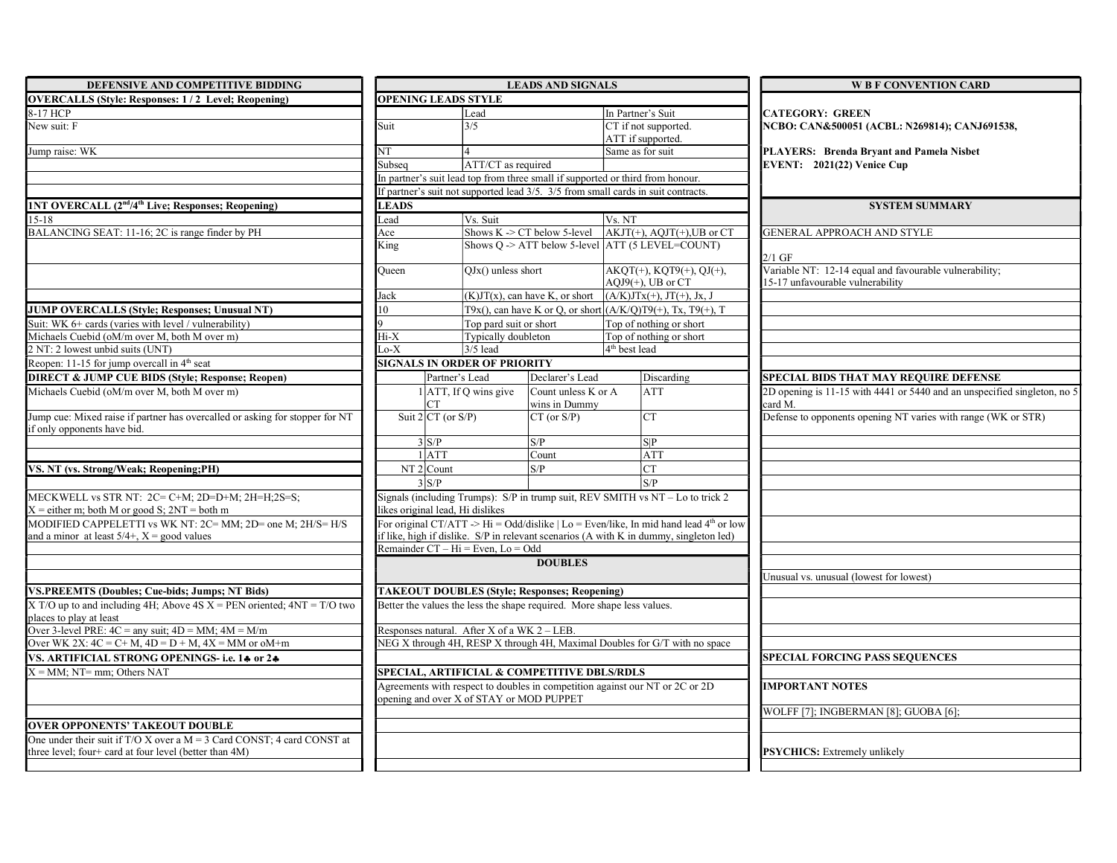| DEFENSIVE AND COMPETITIVE BIDDING                                                                                                    | <b>LEADS AND SIGNALS</b>                                                                                                                                                                    |                                                                        |                                      |                                                                                   | <b>W B F CONVENTION CARD</b>                                                               |
|--------------------------------------------------------------------------------------------------------------------------------------|---------------------------------------------------------------------------------------------------------------------------------------------------------------------------------------------|------------------------------------------------------------------------|--------------------------------------|-----------------------------------------------------------------------------------|--------------------------------------------------------------------------------------------|
| <b>OVERCALLS (Style: Responses: 1/2 Level; Reopening)</b>                                                                            |                                                                                                                                                                                             | <b>OPENING LEADS STYLE</b>                                             |                                      |                                                                                   |                                                                                            |
| 8-17 HCP                                                                                                                             |                                                                                                                                                                                             | Lead                                                                   |                                      | In Partner's Suit                                                                 | <b>CATEGORY: GREEN</b>                                                                     |
| New suit: F                                                                                                                          | Suit                                                                                                                                                                                        | 3/5                                                                    |                                      | CT if not supported.<br>ATT if supported.                                         | NCBO: CAN&500051 (ACBL: N269814); CANJ691538,                                              |
| Jump raise: WK                                                                                                                       | NT                                                                                                                                                                                          | 4                                                                      |                                      | Same as for suit                                                                  | PLAYERS: Brenda Bryant and Pamela Nisbet                                                   |
|                                                                                                                                      | Subsea                                                                                                                                                                                      | ATT/CT as required                                                     |                                      |                                                                                   | EVENT: $2021(22)$ Venice Cup                                                               |
|                                                                                                                                      |                                                                                                                                                                                             |                                                                        |                                      | In partner's suit lead top from three small if supported or third from honour.    |                                                                                            |
|                                                                                                                                      |                                                                                                                                                                                             |                                                                        |                                      | If partner's suit not supported lead 3/5. 3/5 from small cards in suit contracts. |                                                                                            |
| <b>INT OVERCALL (2<sup>nd</sup>/4<sup>th</sup> Live; Responses; Reopening)</b>                                                       | <b>LEADS</b>                                                                                                                                                                                |                                                                        |                                      |                                                                                   | <b>SYSTEM SUMMARY</b>                                                                      |
| $15 - 18$                                                                                                                            | Vs. Suit<br>Lead                                                                                                                                                                            |                                                                        | Vs. NT                               |                                                                                   |                                                                                            |
| BALANCING SEAT: 11-16; 2C is range finder by PH                                                                                      | Ace                                                                                                                                                                                         |                                                                        |                                      | Shows K -> CT below 5-level $ AKJT(+), AQJT(+), UB$ or CT                         | GENERAL APPROACH AND STYLE                                                                 |
|                                                                                                                                      | King                                                                                                                                                                                        |                                                                        |                                      | Shows $Q \rightarrow$ ATT below 5-level ATT (5 LEVEL=COUNT)                       | $2/1$ GF                                                                                   |
|                                                                                                                                      | Oueen                                                                                                                                                                                       | $QJx()$ unless short                                                   |                                      | $AKQT(+)$ , $KQT9(+)$ , $QJ(+)$ ,<br>$AOJ9(+)$ , UB or CT                         | Variable NT: 12-14 equal and favourable vulnerability;<br>15-17 unfavourable vulnerability |
|                                                                                                                                      | Jack                                                                                                                                                                                        |                                                                        | $(K)JT(x)$ , can have K, or short    | $(A/K)JTx(+), JT(+), Jx, J$                                                       |                                                                                            |
| <b>JUMP OVERCALLS (Style; Responses; Unusual NT)</b>                                                                                 | $\overline{0}$                                                                                                                                                                              |                                                                        |                                      | T9x(), can have K or Q, or short $(A/K/Q)T9(+)$ , Tx, T9(+), T                    |                                                                                            |
| Suit: WK 6+ cards (varies with level / vulnerability)                                                                                |                                                                                                                                                                                             | Top pard suit or short                                                 |                                      | Top of nothing or short                                                           |                                                                                            |
| Michaels Cuebid (oM/m over M, both M over m)                                                                                         | Hi-X                                                                                                                                                                                        | Typically doubleton                                                    |                                      | Top of nothing or short                                                           |                                                                                            |
| 2 NT: 2 lowest unbid suits (UNT)                                                                                                     | Lo-X                                                                                                                                                                                        | $3/5$ lead                                                             |                                      | 4 <sup>th</sup> best lead                                                         |                                                                                            |
| Reopen: 11-15 for jump overcall in 4 <sup>th</sup> seat                                                                              |                                                                                                                                                                                             | <b>SIGNALS IN ORDER OF PRIORITY</b>                                    |                                      |                                                                                   |                                                                                            |
| <b>DIRECT &amp; JUMP CUE BIDS (Style; Response; Reopen)</b>                                                                          |                                                                                                                                                                                             | Partner's Lead                                                         | Declarer's Lead                      | Discarding                                                                        | <b>SPECIAL BIDS THAT MAY REQUIRE DEFENSE</b>                                               |
| Michaels Cuebid (oM/m over M, both M over m)                                                                                         |                                                                                                                                                                                             | $1$ ATT, If Q wins give<br>CT.                                         | Count unless K or A<br>wins in Dummy | <b>ATT</b>                                                                        | 2D opening is 11-15 with 4441 or 5440 and an unspecified singleton, no 5<br>card M.        |
| Jump cue: Mixed raise if partner has overcalled or asking for stopper for NT<br>if only opponents have bid.                          |                                                                                                                                                                                             | Suit $2 CT$ (or S/P)                                                   | $CT$ (or $S/P$ )                     | CT.                                                                               | Defense to opponents opening NT varies with range (WK or STR)                              |
|                                                                                                                                      |                                                                                                                                                                                             | 3 S/P                                                                  | S/P                                  | S P                                                                               |                                                                                            |
|                                                                                                                                      |                                                                                                                                                                                             | $1$ ATT                                                                | Count                                | ATT                                                                               |                                                                                            |
| VS. NT (vs. Strong/Weak; Reopening;PH)                                                                                               |                                                                                                                                                                                             | $NT2$ Count                                                            | S/P                                  | CT                                                                                |                                                                                            |
|                                                                                                                                      |                                                                                                                                                                                             | 3 S/P                                                                  |                                      | S/P                                                                               |                                                                                            |
| MECKWELL vs STR NT: 2C= C+M; 2D=D+M; 2H=H;2S=S;<br>$X =$ either m; both M or good S; $2NT =$ both m                                  |                                                                                                                                                                                             | likes original lead, Hi dislikes                                       |                                      | Signals (including Trumps): S/P in trump suit, REV SMITH vs NT - Lo to trick 2    |                                                                                            |
| MODIFIED CAPPELETTI vs WK NT: 2C= MM: 2D= one M: 2H/S= H/S<br>and a minor at least $5/4 +$ , $X =$ good values                       | For original CT/ATT -> Hi = Odd/dislike   Lo = Even/like, In mid hand lead 4 <sup>th</sup> or low<br>if like, high if dislike. S/P in relevant scenarios (A with K in dummy, singleton led) |                                                                        |                                      |                                                                                   |                                                                                            |
|                                                                                                                                      |                                                                                                                                                                                             | Remainder $CT - Hi = Even, Lo = Odd$                                   |                                      |                                                                                   |                                                                                            |
|                                                                                                                                      |                                                                                                                                                                                             |                                                                        | <b>DOUBLES</b>                       |                                                                                   |                                                                                            |
|                                                                                                                                      |                                                                                                                                                                                             |                                                                        |                                      |                                                                                   | Jnusual vs. unusual (lowest for lowest)                                                    |
| <b>VS.PREEMTS (Doubles; Cue-bids; Jumps; NT Bids)</b>                                                                                |                                                                                                                                                                                             | <b>TAKEOUT DOUBLES (Style; Responses; Reopening)</b>                   |                                      |                                                                                   |                                                                                            |
| $X T/O$ up to and including 4H; Above 4S $X = PEN$ oriented; $4NT = T/O$ two<br>places to play at least                              |                                                                                                                                                                                             | Better the values the less the shape required. More shape less values. |                                      |                                                                                   |                                                                                            |
| Over 3-level PRE: $4C =$ any suit; $4D = MM$ ; $4M = M/m$                                                                            |                                                                                                                                                                                             | Responses natural. After X of a WK $2 - LEB$ .                         |                                      |                                                                                   |                                                                                            |
| Over WK 2X: $4C = C + M$ , $4D = D + M$ , $4X = MM$ or oM+m                                                                          |                                                                                                                                                                                             |                                                                        |                                      | NEG X through 4H, RESP X through 4H, Maximal Doubles for G/T with no space        |                                                                                            |
| VS. ARTIFICIAL STRONG OPENINGS- i.e. 14 or 24                                                                                        |                                                                                                                                                                                             |                                                                        |                                      |                                                                                   | <b>SPECIAL FORCING PASS SEQUENCES</b>                                                      |
| $X = MM$ ; NT= mm; Others NAT                                                                                                        | SPECIAL, ARTIFICIAL & COMPETITIVE DBLS/RDLS                                                                                                                                                 |                                                                        |                                      |                                                                                   |                                                                                            |
|                                                                                                                                      |                                                                                                                                                                                             | opening and over X of STAY or MOD PUPPET                               |                                      | Agreements with respect to doubles in competition against our NT or 2C or 2D      | <b>IMPORTANT NOTES</b>                                                                     |
|                                                                                                                                      |                                                                                                                                                                                             |                                                                        |                                      |                                                                                   | WOLFF [7]; INGBERMAN [8]; GUOBA [6];                                                       |
| <b>OVER OPPONENTS' TAKEOUT DOUBLE</b>                                                                                                |                                                                                                                                                                                             |                                                                        |                                      |                                                                                   |                                                                                            |
| One under their suit if $T/O X$ over a $M = 3$ Card CONST; 4 card CONST at<br>three level; four+ card at four level (better than 4M) |                                                                                                                                                                                             |                                                                        |                                      |                                                                                   | <b>PSYCHICS:</b> Extremely unlikely                                                        |
|                                                                                                                                      |                                                                                                                                                                                             |                                                                        |                                      |                                                                                   |                                                                                            |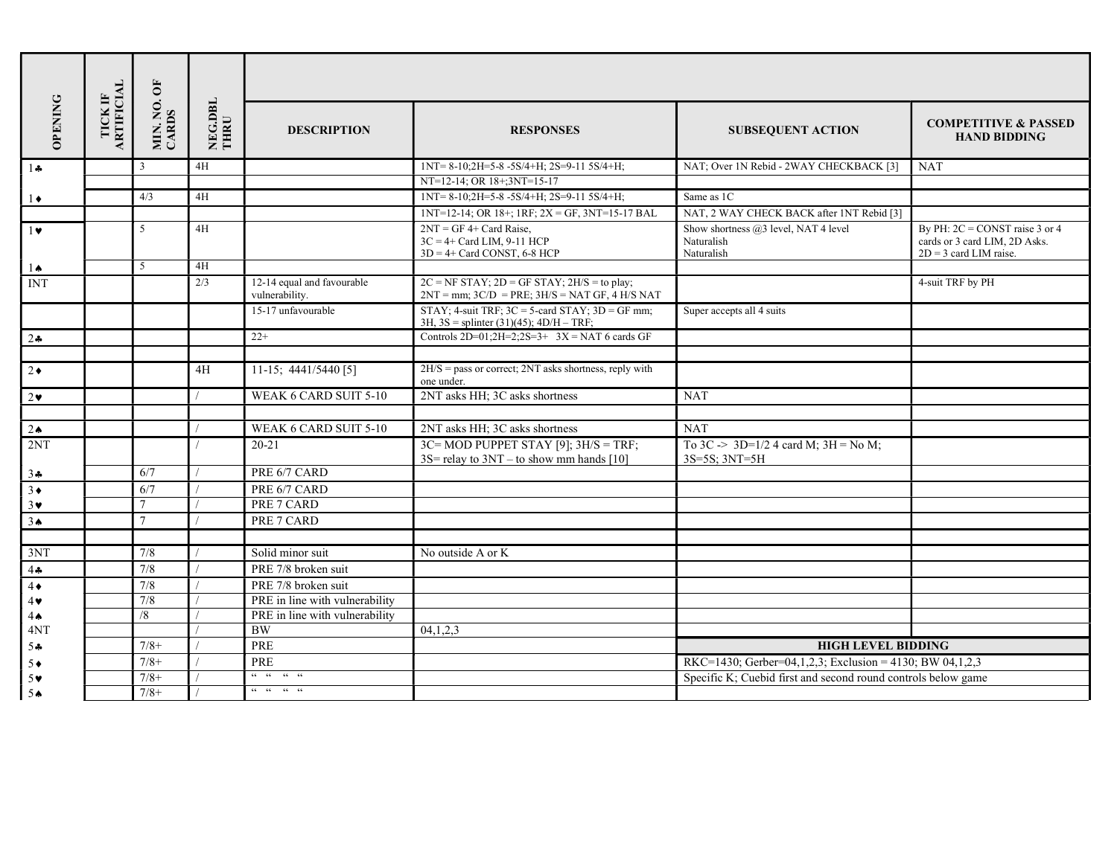|                       |                                     | MIN. NO. OF<br>CARDS | NEG.DBL<br>THRU |                                                                                                                                                                          |                                                                                                                   |                                                                     |                                                                                               |  |  |  |
|-----------------------|-------------------------------------|----------------------|-----------------|--------------------------------------------------------------------------------------------------------------------------------------------------------------------------|-------------------------------------------------------------------------------------------------------------------|---------------------------------------------------------------------|-----------------------------------------------------------------------------------------------|--|--|--|
| <b>OPENING</b>        | <b>ARTIFICIAL</b><br><b>TICK IF</b> |                      |                 | <b>DESCRIPTION</b>                                                                                                                                                       | <b>RESPONSES</b>                                                                                                  | <b>SUBSEQUENT ACTION</b>                                            | <b>COMPETITIVE &amp; PASSED</b><br><b>HAND BIDDING</b>                                        |  |  |  |
| $1 -$                 |                                     | $\overline{3}$       | 4H              |                                                                                                                                                                          | $1NT = 8-10; 2H = 5-8 - 5S/4 + H$ ; $2S = 9-115S/4 + H$ ;                                                         | NAT; Over 1N Rebid - 2WAY CHECKBACK [3]                             | <b>NAT</b>                                                                                    |  |  |  |
|                       |                                     |                      |                 |                                                                                                                                                                          | NT=12-14; OR 18+;3NT=15-17                                                                                        |                                                                     |                                                                                               |  |  |  |
| $1\bullet$            |                                     | 4/3                  | 4H              |                                                                                                                                                                          | 1NT=8-10;2H=5-8-5S/4+H; 2S=9-11 5S/4+H;                                                                           | Same as 1C                                                          |                                                                                               |  |  |  |
|                       |                                     |                      |                 |                                                                                                                                                                          | $INT=12-14$ ; OR $18+$ ; $1RF$ ; $2X = GF$ , $3NT=15-17$ BAL                                                      | NAT, 2 WAY CHECK BACK after 1NT Rebid [3]                           |                                                                                               |  |  |  |
| $1\bullet$            |                                     | 5                    | 4H              |                                                                                                                                                                          | $2NT = GF 4 + Card Raise,$<br>$3C = 4 + Card LIM$ , 9-11 HCP<br>$3D = 4 + Card CONST, 6-8 HCP$                    | Show shortness @3 level, NAT 4 level<br>Naturalish<br>Naturalish    | By PH: $2C = CONST$ raise 3 or 4<br>cards or 3 card LIM, 2D Asks.<br>$2D = 3$ card LIM raise. |  |  |  |
| 1Ѧ                    |                                     | 5                    | 4H              |                                                                                                                                                                          |                                                                                                                   |                                                                     |                                                                                               |  |  |  |
| <b>INT</b>            |                                     |                      | 2/3             | 12-14 equal and favourable<br>vulnerability.                                                                                                                             | $2C = NF STAY$ ; $2D = GF STAY$ ; $2H/S = to play$ ;<br>$2NT = mm$ ; $3C/D = PRE$ ; $3H/S = NAT GF$ , $4 H/S NAT$ |                                                                     | 4-suit TRF by PH                                                                              |  |  |  |
|                       |                                     |                      |                 | 15-17 unfavourable                                                                                                                                                       | STAY; 4-suit TRF; $3C = 5$ -card STAY; $3D = GF$ mm;<br>3H, $3S =$ splinter (31)(45); $4D/H - TRF$ ;              | Super accepts all 4 suits                                           |                                                                                               |  |  |  |
| $2\bullet$            |                                     |                      |                 | $22+$                                                                                                                                                                    | Controls 2D=01;2H=2;2S=3+ $3X = NAT$ 6 cards GF                                                                   |                                                                     |                                                                                               |  |  |  |
|                       |                                     |                      |                 |                                                                                                                                                                          |                                                                                                                   |                                                                     |                                                                                               |  |  |  |
| $2\bullet$            |                                     |                      | 4H              | $11-15$ ; 4441/5440 [5]                                                                                                                                                  | $2H/S =$ pass or correct; $2NT$ asks shortness, reply with<br>one under.                                          |                                                                     |                                                                                               |  |  |  |
| $2\bullet$            |                                     |                      |                 | WEAK 6 CARD SUIT 5-10                                                                                                                                                    | 2NT asks HH; 3C asks shortness                                                                                    | <b>NAT</b>                                                          |                                                                                               |  |  |  |
|                       |                                     |                      |                 |                                                                                                                                                                          |                                                                                                                   |                                                                     |                                                                                               |  |  |  |
| $2 \spadesuit$        |                                     |                      |                 | WEAK 6 CARD SUIT 5-10                                                                                                                                                    | 2NT asks HH; 3C asks shortness                                                                                    | <b>NAT</b>                                                          |                                                                                               |  |  |  |
| 2NT                   |                                     |                      |                 | $20 - 21$                                                                                                                                                                | $3C=MOD$ PUPPET STAY [9]; $3H/S = TRF$ ;<br>$3S =$ relay to $3NT -$ to show mm hands [10]                         | To $3C \rightarrow 3D=1/2$ 4 card M; $3H = No M$ ;<br>3S=5S; 3NT=5H |                                                                                               |  |  |  |
| $3 -$                 |                                     | 6/7                  |                 | PRE 6/7 CARD                                                                                                                                                             |                                                                                                                   |                                                                     |                                                                                               |  |  |  |
| $3\bullet$            |                                     | 6/7                  |                 | PRE 6/7 CARD                                                                                                                                                             |                                                                                                                   |                                                                     |                                                                                               |  |  |  |
| $3\vee$               |                                     | $\tau$               |                 | PRE 7 CARD                                                                                                                                                               |                                                                                                                   |                                                                     |                                                                                               |  |  |  |
| 3 <sub>•</sub>        |                                     | $\overline{7}$       |                 | PRE 7 CARD                                                                                                                                                               |                                                                                                                   |                                                                     |                                                                                               |  |  |  |
|                       |                                     |                      |                 |                                                                                                                                                                          |                                                                                                                   |                                                                     |                                                                                               |  |  |  |
| 3NT                   |                                     | 7/8                  |                 | Solid minor suit                                                                                                                                                         | No outside A or K                                                                                                 |                                                                     |                                                                                               |  |  |  |
| 4.4                   |                                     | 7/8                  |                 | PRE 7/8 broken suit                                                                                                                                                      |                                                                                                                   |                                                                     |                                                                                               |  |  |  |
| $4\bullet$            |                                     | 7/8                  |                 | PRE 7/8 broken suit                                                                                                                                                      |                                                                                                                   |                                                                     |                                                                                               |  |  |  |
| $4\blacktriangledown$ |                                     | 7/8                  |                 | PRE in line with vulnerability                                                                                                                                           |                                                                                                                   |                                                                     |                                                                                               |  |  |  |
| 4 <sub>•</sub>        |                                     | /8                   |                 | PRE in line with vulnerability                                                                                                                                           |                                                                                                                   |                                                                     |                                                                                               |  |  |  |
| 4NT                   |                                     |                      |                 | <b>BW</b>                                                                                                                                                                | 04,1,2,3                                                                                                          |                                                                     |                                                                                               |  |  |  |
| $5 -$                 |                                     | $7/8+$               |                 | PRE                                                                                                                                                                      |                                                                                                                   | <b>HIGH LEVEL BIDDING</b>                                           |                                                                                               |  |  |  |
| $5*$                  |                                     | $7/8+$               |                 | PRE                                                                                                                                                                      | RKC=1430; Gerber=04,1,2,3; Exclusion = 4130; BW 04,1,2,3                                                          |                                                                     |                                                                                               |  |  |  |
| 5 <sub>v</sub>        |                                     | $7/8+$               |                 | $\begin{array}{cccccccccccccc} \epsilon\epsilon & \epsilon\epsilon & \epsilon\epsilon & \epsilon\epsilon & \epsilon\epsilon \end{array}$                                 |                                                                                                                   | Specific K; Cuebid first and second round controls below game       |                                                                                               |  |  |  |
| 5 <sub>th</sub>       |                                     | $7/8+$               |                 | $\begin{array}{cccccccccccccc} \mathcal{C}\mathcal{C} & \cdots & \mathcal{C}\mathcal{C} & \cdots & \mathcal{C}\mathcal{C} & \cdots & \mathcal{C}\mathcal{C} \end{array}$ |                                                                                                                   |                                                                     |                                                                                               |  |  |  |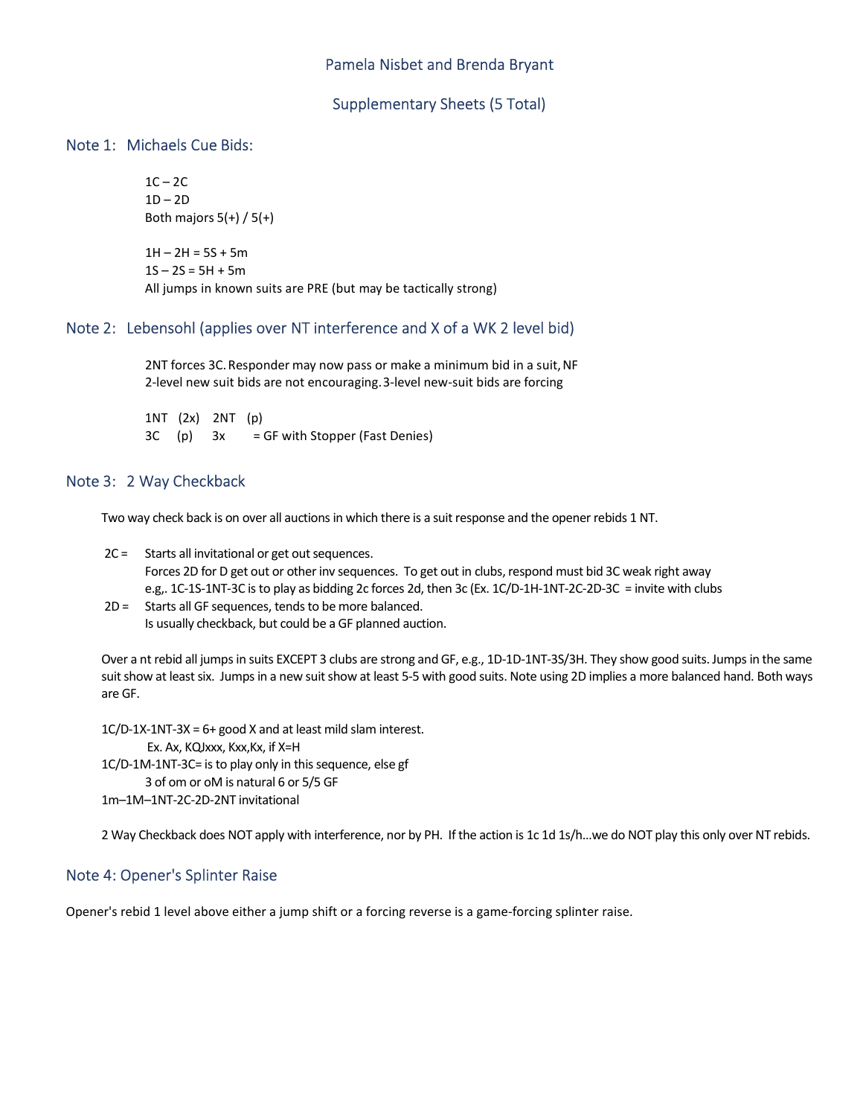### Pamela Nisbet and Brenda Bryant

#### Supplementary Sheets (5 Total)

#### Note 1: Michaels Cue Bids:

 $1C - 2C$  $1D - 2D$ <br>Both majors  $5(+) / 5(+)$ 

 $1H - 2H = 5S + 5m$  $1S - 2S = 5H + 5m$ All jumps in known suits are PRE (but may be tactically strong)

#### Note 2: Lebensohl (applies over NT interference and X of a WK 2 level bid)

 2NT forces 3C. Responder may now pass or make a minimum bid in a suit, NF 2-level new suit bids are not encouraging. 3-level new-suit bids are forcing

1NT (2x) 2NT (p) 3C (p) 3x = GF with Stopper (Fast Denies)

### Note 3: 2 Way Checkback

Two way check back is on over all auctions in which there is a suit response and the opener rebids 1 NT.

- 2C = Starts all invitational or get out sequences. Forces 2D for D get out or other inv sequences. To get out in clubs, respond must bid 3C weak right away e.g,. 1C-1S-1NT-3C is to play as bidding 2c forces 2d, then 3c (Ex. 1C/D-1H-1NT-2C-2D-3C = invite with clubs
- 2D = Starts all GF sequences, tends to be more balanced. Is usually checkback, but could be a GF planned auction.

Over a nt rebid all jumps in suits EXCEPT 3 clubs are strong and GF, e.g., 1D-1D-1NT-3S/3H. They show good suits. Jumps in the same suit show at least six. Jumps in a new suit show at least 5-5 with good suits. Note using 2D implies a more balanced hand. Both ways are GF.

1C/D-1X-1NT-3X = 6+ good X and at least mild slam interest. Ex. Ax, KQJxxx, Kxx,Kx, if X=H 1C/D-1M-1NT-3C= is to play only in this sequence, else gf 3 of om or oM is natural 6 or 5/5 GF 1m–1M–1NT-2C-2D-2NT invitational

2 Way Checkback does NOT apply with interference, nor by PH. If the action is 1c 1d 1s/h…we do NOT play this only over NT rebids.

## Note 4: Opener's Splinter Raise

Opener's rebid 1 level above either a jump shift or a forcing reverse is a game-forcing splinter raise.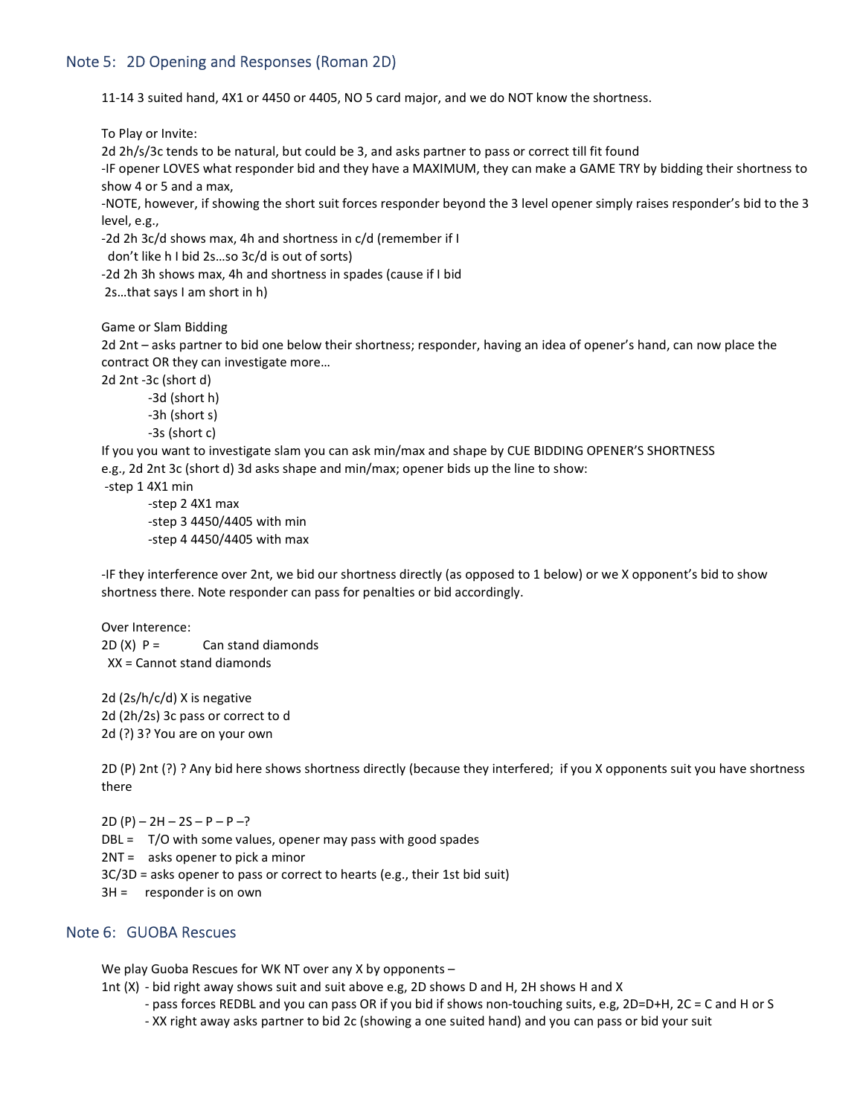## Note 5: 2D Opening and Responses (Roman 2D)

11-14 3 suited hand, 4X1 or 4450 or 4405, NO 5 card major, and we do NOT know the shortness.

To Play or Invite:

2d 2h/s/3c tends to be natural, but could be 3, and asks partner to pass or correct till fit found

-IF opener LOVES what responder bid and they have a MAXIMUM, they can make a GAME TRY by bidding their shortness to show 4 or 5 and a max,

-NOTE, however, if showing the short suit forces responder beyond the 3 level opener simply raises responder's bid to the 3 level, e.g.,

-2d 2h 3c/d shows max, 4h and shortness in c/d (remember if I

```
 don't like h I bid 2s…so 3c/d is out of sorts)
```
-2d 2h 3h shows max, 4h and shortness in spades (cause if I bid

2s…that says I am short in h)

Game or Slam Bidding

2d 2nt – asks partner to bid one below their shortness; responder, having an idea of opener's hand, can now place the contract OR they can investigate more…

2d 2nt -3c (short d)

 -3d (short h) -3h (short s) -3s (short c)

If you you want to investigate slam you can ask min/max and shape by CUE BIDDING OPENER'S SHORTNESS e.g., 2d 2nt 3c (short d) 3d asks shape and min/max; opener bids up the line to show:

-step 1 4X1 min

 -step 2 4X1 max -step 3 4450/4405 with min -step 4 4450/4405 with max

-IF they interference over 2nt, we bid our shortness directly (as opposed to 1 below) or we X opponent's bid to show shortness there. Note responder can pass for penalties or bid accordingly.

Over Interence:  $2D(X) P =$  Can stand diamonds XX = Cannot stand diamonds

2d (2s/h/c/d) X is negative 2d (2h/2s) 3c pass or correct to d 2d (?) 3? You are on your own

2D (P) 2nt (?) ? Any bid here shows shortness directly (because they interfered; if you X opponents suit you have shortness there

 $2D (P) - 2H - 2S - P - P -?$ 

 $DBL = T/O$  with some values, opener may pass with good spades

2NT = asks opener to pick a minor

3C/3D = asks opener to pass or correct to hearts (e.g., their 1st bid suit)

3H = responder is on own

## Note 6: GUOBA Rescues

We play Guoba Rescues for WK NT over any X by opponents –

- 1nt (X) bid right away shows suit and suit above e.g, 2D shows D and H, 2H shows H and X
	- pass forces REDBL and you can pass OR if you bid if shows non-touching suits, e.g, 2D=D+H, 2C = C and H or S
	- XX right away asks partner to bid 2c (showing a one suited hand) and you can pass or bid your suit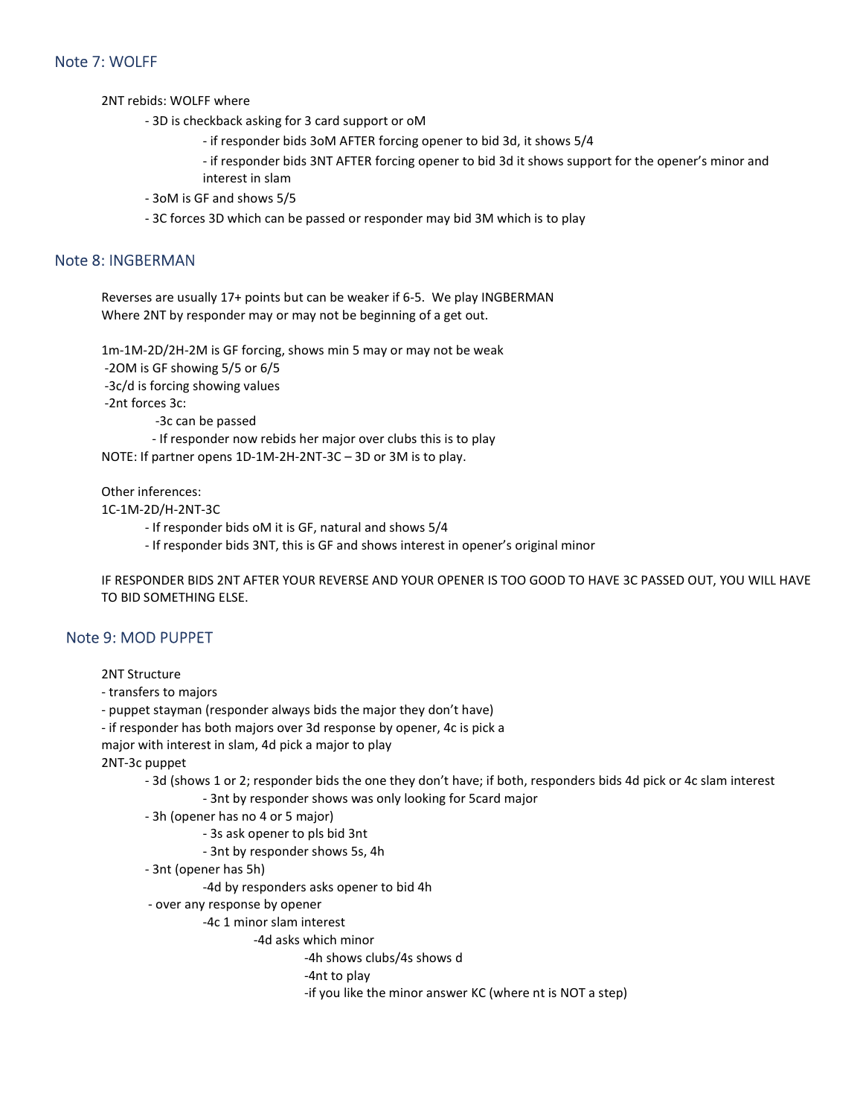## Note 7: WOLFF

2NT rebids: WOLFF where

- 3D is checkback asking for 3 card support or oM
	- if responder bids 3oM AFTER forcing opener to bid 3d, it shows 5/4
	- if responder bids 3NT AFTER forcing opener to bid 3d it shows support for the opener's minor and interest in slam
- 3oM is GF and shows 5/5
- 3C forces 3D which can be passed or responder may bid 3M which is to play

### Note 8: INGBERMAN

Reverses are usually 17+ points but can be weaker if 6-5. We play INGBERMAN Where 2NT by responder may or may not be beginning of a get out.

1m-1M-2D/2H-2M is GF forcing, shows min 5 may or may not be weak

-2OM is GF showing 5/5 or 6/5

-3c/d is forcing showing values

-2nt forces 3c:

-3c can be passed

 - If responder now rebids her major over clubs this is to play NOTE: If partner opens 1D-1M-2H-2NT-3C – 3D or 3M is to play.

Other inferences:

1C-1M-2D/H-2NT-3C

- If responder bids oM it is GF, natural and shows 5/4
- If responder bids 3NT, this is GF and shows interest in opener's original minor

IF RESPONDER BIDS 2NT AFTER YOUR REVERSE AND YOUR OPENER IS TOO GOOD TO HAVE 3C PASSED OUT, YOU WILL HAVE TO BID SOMETHING ELSE.

### Note 9: MOD PUPPET

2NT Structure

- transfers to majors

- puppet stayman (responder always bids the major they don't have)

- if responder has both majors over 3d response by opener, 4c is pick a

major with interest in slam, 4d pick a major to play

2NT-3c puppet

- 3d (shows 1 or 2; responder bids the one they don't have; if both, responders bids 4d pick or 4c slam interest
	- 3nt by responder shows was only looking for 5card major

- 3h (opener has no 4 or 5 major)

- 3s ask opener to pls bid 3nt
- 3nt by responder shows 5s, 4h

- 3nt (opener has 5h)

-4d by responders asks opener to bid 4h

- over any response by opener
	- -4c 1 minor slam interest

-4d asks which minor

-4h shows clubs/4s shows d

-4nt to play

-if you like the minor answer KC (where nt is NOT a step)